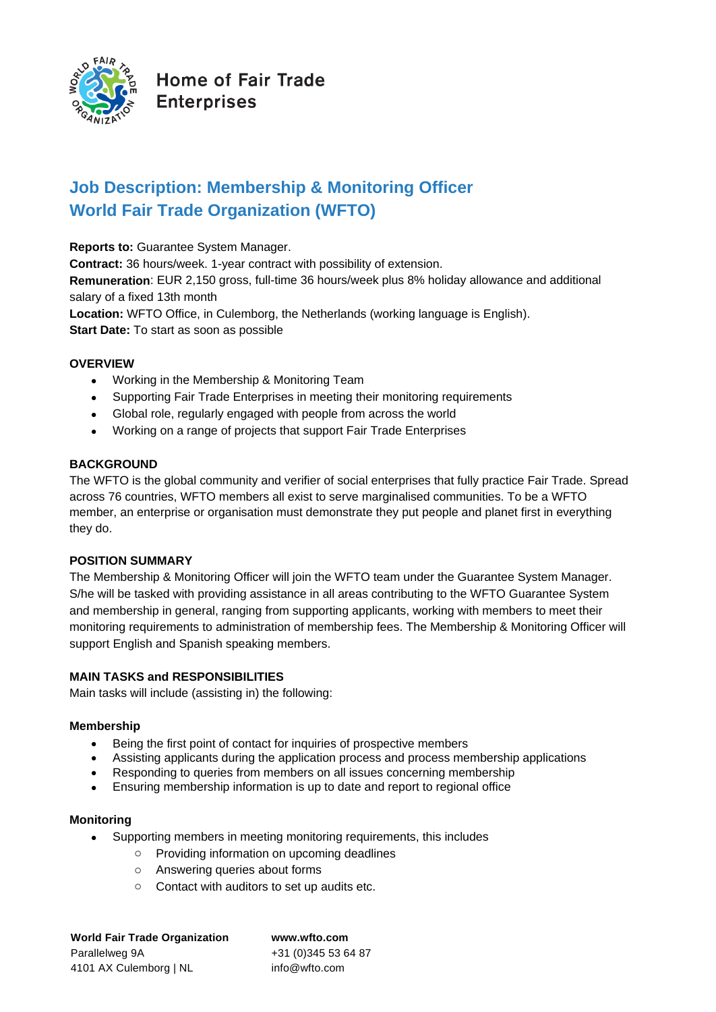

**Home of Fair Trade Enterprises** 

# **Job Description: Membership & Monitoring Officer World Fair Trade Organization (WFTO)**

**Reports to:** Guarantee System Manager.

**Contract:** 36 hours/week. 1-year contract with possibility of extension. **Remuneration**: EUR 2,150 gross, full-time 36 hours/week plus 8% holiday allowance and additional

salary of a fixed 13th month

**Location:** WFTO Office, in Culemborg, the Netherlands (working language is English).

**Start Date:** To start as soon as possible

## **OVERVIEW**

- Working in the Membership & Monitoring Team
- Supporting Fair Trade Enterprises in meeting their monitoring requirements
- Global role, regularly engaged with people from across the world
- Working on a range of projects that support Fair Trade Enterprises

# **BACKGROUND**

The WFTO is the global community and verifier of social enterprises that fully practice Fair Trade. Spread across 76 countries, WFTO members all exist to serve marginalised communities. To be a WFTO member, an enterprise or organisation must demonstrate they put people and planet first in everything they do.

# **POSITION SUMMARY**

The Membership & Monitoring Officer will join the WFTO team under the Guarantee System Manager. S/he will be tasked with providing assistance in all areas contributing to the WFTO Guarantee System and membership in general, ranging from supporting applicants, working with members to meet their monitoring requirements to administration of membership fees. The Membership & Monitoring Officer will support English and Spanish speaking members.

# **MAIN TASKS and RESPONSIBILITIES**

Main tasks will include (assisting in) the following:

#### **Membership**

- Being the first point of contact for inquiries of prospective members
- Assisting applicants during the application process and process membership applications
- Responding to queries from members on all issues concerning membership
- Ensuring membership information is up to date and report to regional office

#### **Monitoring**

- Supporting members in meeting monitoring requirements, this includes
	- o Providing information on upcoming deadlines
	- o Answering queries about forms
	- o Contact with auditors to set up audits etc.

**World Fair Trade Organization**  Parallelweg 9A 4101 AX Culemborg | NL **www.wfto.com** +31 (0)345 53 64 87 info@wfto.com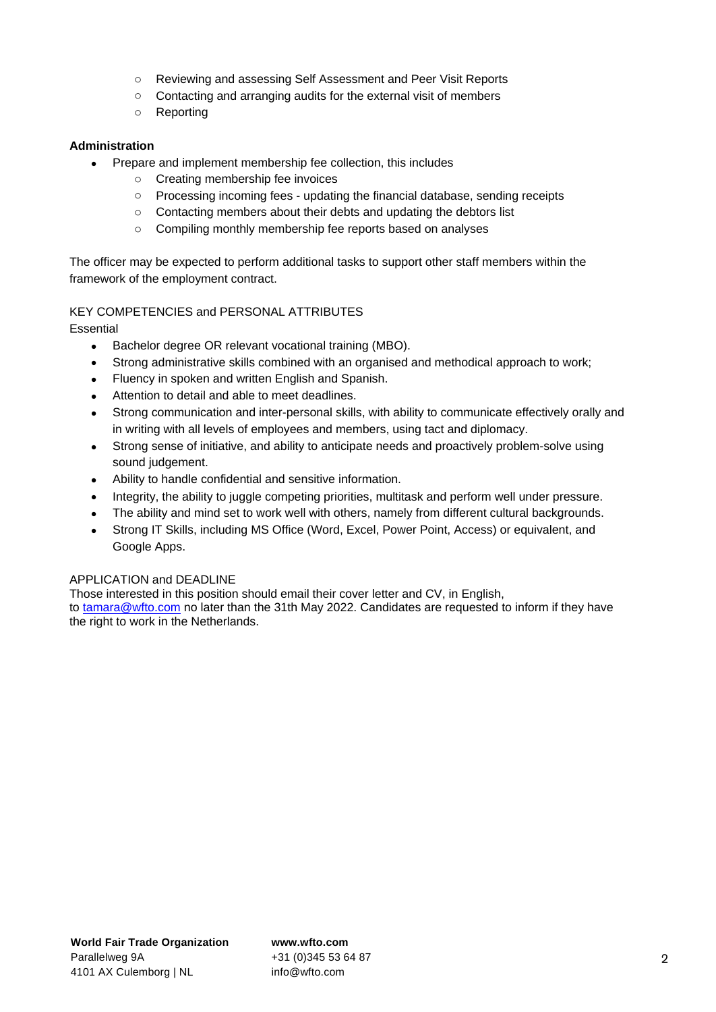- o Reviewing and assessing Self Assessment and Peer Visit Reports
- o Contacting and arranging audits for the external visit of members
- o Reporting

## **Administration**

- Prepare and implement membership fee collection, this includes
	- o Creating membership fee invoices
	- o Processing incoming fees updating the financial database, sending receipts
	- o Contacting members about their debts and updating the debtors list
	- o Compiling monthly membership fee reports based on analyses

The officer may be expected to perform additional tasks to support other staff members within the framework of the employment contract.

# KEY COMPETENCIES and PERSONAL ATTRIBUTES

Essential

- Bachelor degree OR relevant vocational training (MBO).
- Strong administrative skills combined with an organised and methodical approach to work;
- Fluency in spoken and written English and Spanish.
- Attention to detail and able to meet deadlines.
- Strong communication and inter-personal skills, with ability to communicate effectively orally and in writing with all levels of employees and members, using tact and diplomacy.
- Strong sense of initiative, and ability to anticipate needs and proactively problem-solve using sound judgement.
- Ability to handle confidential and sensitive information.
- Integrity, the ability to juggle competing priorities, multitask and perform well under pressure.
- The ability and mind set to work well with others, namely from different cultural backgrounds.
- Strong IT Skills, including MS Office (Word, Excel, Power Point, Access) or equivalent, and Google Apps.

#### APPLICATION and DEADLINE

Those interested in this position should email their cover letter and CV, in English,

to [tamara@wfto.com](mailto:tamara@wfto.com) no later than the 31th May 2022. Candidates are requested to inform if they have the right to work in the Netherlands.

**www.wfto.com** +31 (0)345 53 64 87 info@wfto.com